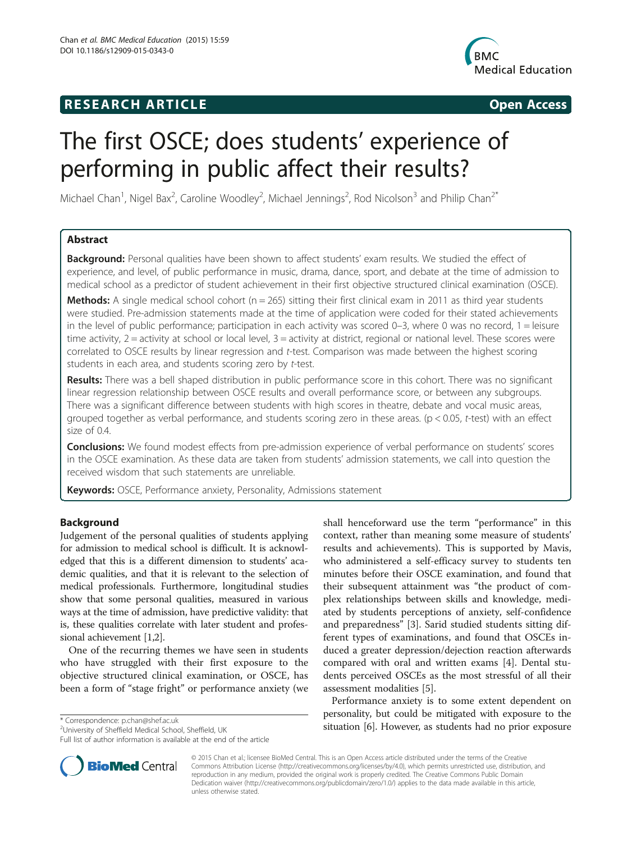## **RESEARCH ARTICLE Example 2014 CONSIDERING CONSIDERING CONSIDERING CONSIDERING CONSIDERING CONSIDERING CONSIDERING CONSIDERING CONSIDERING CONSIDERING CONSIDERING CONSIDERING CONSIDERING CONSIDERING CONSIDERING CONSIDE**



# The first OSCE; does students' experience of performing in public affect their results?

Michael Chan<sup>1</sup>, Nigel Bax<sup>2</sup>, Caroline Woodley<sup>2</sup>, Michael Jennings<sup>2</sup>, Rod Nicolson<sup>3</sup> and Philip Chan<sup>2\*</sup>

## Abstract

Background: Personal qualities have been shown to affect students' exam results. We studied the effect of experience, and level, of public performance in music, drama, dance, sport, and debate at the time of admission to medical school as a predictor of student achievement in their first objective structured clinical examination (OSCE).

**Methods:** A single medical school cohort ( $n = 265$ ) sitting their first clinical exam in 2011 as third year students were studied. Pre-admission statements made at the time of application were coded for their stated achievements in the level of public performance; participation in each activity was scored 0–3, where 0 was no record, 1 = leisure time activity, 2 = activity at school or local level, 3 = activity at district, regional or national level. These scores were correlated to OSCE results by linear regression and t-test. Comparison was made between the highest scoring students in each area, and students scoring zero by t-test.

Results: There was a bell shaped distribution in public performance score in this cohort. There was no significant linear regression relationship between OSCE results and overall performance score, or between any subgroups. There was a significant difference between students with high scores in theatre, debate and vocal music areas, grouped together as verbal performance, and students scoring zero in these areas. (p < 0.05, t-test) with an effect size of 0.4.

Conclusions: We found modest effects from pre-admission experience of verbal performance on students' scores in the OSCE examination. As these data are taken from students' admission statements, we call into question the received wisdom that such statements are unreliable.

Keywords: OSCE, Performance anxiety, Personality, Admissions statement

## Background

Judgement of the personal qualities of students applying for admission to medical school is difficult. It is acknowledged that this is a different dimension to students' academic qualities, and that it is relevant to the selection of medical professionals. Furthermore, longitudinal studies show that some personal qualities, measured in various ways at the time of admission, have predictive validity: that is, these qualities correlate with later student and professional achievement [[1,2](#page-4-0)].

One of the recurring themes we have seen in students who have struggled with their first exposure to the objective structured clinical examination, or OSCE, has been a form of "stage fright" or performance anxiety (we

Full list of author information is available at the end of the article



Performance anxiety is to some extent dependent on personality, but could be mitigated with exposure to the \* Correspondence: [p.chan@shef.ac.uk](mailto:p.chan@shef.ac.uk)<br><sup>2</sup>University of Sheffield Medical School Sheffield UK **2006 2006 2006 2006 2006 2006 2006 2006 2006 2006 2006 2006 2006 2006 2006 2006 2006 2006 2006** 



© 2015 Chan et al.; licensee BioMed Central. This is an Open Access article distributed under the terms of the Creative Commons Attribution License [\(http://creativecommons.org/licenses/by/4.0\)](http://creativecommons.org/licenses/by/4.0), which permits unrestricted use, distribution, and reproduction in any medium, provided the original work is properly credited. The Creative Commons Public Domain Dedication waiver [\(http://creativecommons.org/publicdomain/zero/1.0/](http://creativecommons.org/publicdomain/zero/1.0/)) applies to the data made available in this article, unless otherwise stated.

<sup>&</sup>lt;sup>2</sup>University of Sheffield Medical School, Sheffield, UK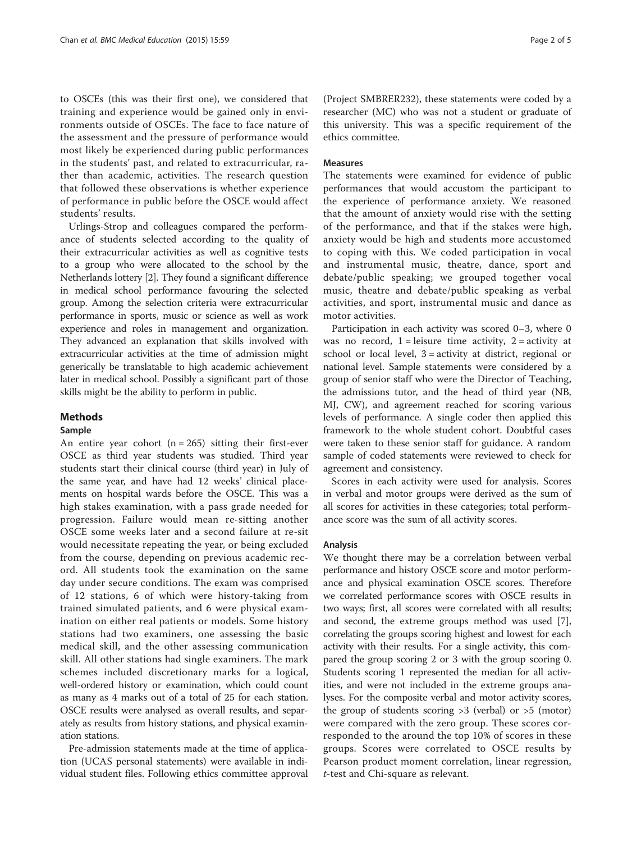to OSCEs (this was their first one), we considered that training and experience would be gained only in environments outside of OSCEs. The face to face nature of the assessment and the pressure of performance would most likely be experienced during public performances in the students' past, and related to extracurricular, rather than academic, activities. The research question that followed these observations is whether experience of performance in public before the OSCE would affect students' results.

Urlings-Strop and colleagues compared the performance of students selected according to the quality of their extracurricular activities as well as cognitive tests to a group who were allocated to the school by the Netherlands lottery [[2](#page-4-0)]. They found a significant difference in medical school performance favouring the selected group. Among the selection criteria were extracurricular performance in sports, music or science as well as work experience and roles in management and organization. They advanced an explanation that skills involved with extracurricular activities at the time of admission might generically be translatable to high academic achievement later in medical school. Possibly a significant part of those skills might be the ability to perform in public.

#### Methods

#### Sample

An entire year cohort  $(n = 265)$  sitting their first-ever OSCE as third year students was studied. Third year students start their clinical course (third year) in July of the same year, and have had 12 weeks' clinical placements on hospital wards before the OSCE. This was a high stakes examination, with a pass grade needed for progression. Failure would mean re-sitting another OSCE some weeks later and a second failure at re-sit would necessitate repeating the year, or being excluded from the course, depending on previous academic record. All students took the examination on the same day under secure conditions. The exam was comprised of 12 stations, 6 of which were history-taking from trained simulated patients, and 6 were physical examination on either real patients or models. Some history stations had two examiners, one assessing the basic medical skill, and the other assessing communication skill. All other stations had single examiners. The mark schemes included discretionary marks for a logical, well-ordered history or examination, which could count as many as 4 marks out of a total of 25 for each station. OSCE results were analysed as overall results, and separately as results from history stations, and physical examination stations.

Pre-admission statements made at the time of application (UCAS personal statements) were available in individual student files. Following ethics committee approval (Project SMBRER232), these statements were coded by a researcher (MC) who was not a student or graduate of this university. This was a specific requirement of the ethics committee.

#### Measures

The statements were examined for evidence of public performances that would accustom the participant to the experience of performance anxiety. We reasoned that the amount of anxiety would rise with the setting of the performance, and that if the stakes were high, anxiety would be high and students more accustomed to coping with this. We coded participation in vocal and instrumental music, theatre, dance, sport and debate/public speaking; we grouped together vocal music, theatre and debate/public speaking as verbal activities, and sport, instrumental music and dance as motor activities.

Participation in each activity was scored 0–3, where 0 was no record,  $1 =$  leisure time activity,  $2 =$  activity at school or local level, 3 = activity at district, regional or national level. Sample statements were considered by a group of senior staff who were the Director of Teaching, the admissions tutor, and the head of third year (NB, MJ, CW), and agreement reached for scoring various levels of performance. A single coder then applied this framework to the whole student cohort. Doubtful cases were taken to these senior staff for guidance. A random sample of coded statements were reviewed to check for agreement and consistency.

Scores in each activity were used for analysis. Scores in verbal and motor groups were derived as the sum of all scores for activities in these categories; total performance score was the sum of all activity scores.

#### Analysis

We thought there may be a correlation between verbal performance and history OSCE score and motor performance and physical examination OSCE scores. Therefore we correlated performance scores with OSCE results in two ways; first, all scores were correlated with all results; and second, the extreme groups method was used [[7](#page-4-0)], correlating the groups scoring highest and lowest for each activity with their results. For a single activity, this compared the group scoring 2 or 3 with the group scoring 0. Students scoring 1 represented the median for all activities, and were not included in the extreme groups analyses. For the composite verbal and motor activity scores, the group of students scoring  $>3$  (verbal) or  $>5$  (motor) were compared with the zero group. These scores corresponded to the around the top 10% of scores in these groups. Scores were correlated to OSCE results by Pearson product moment correlation, linear regression, t-test and Chi-square as relevant.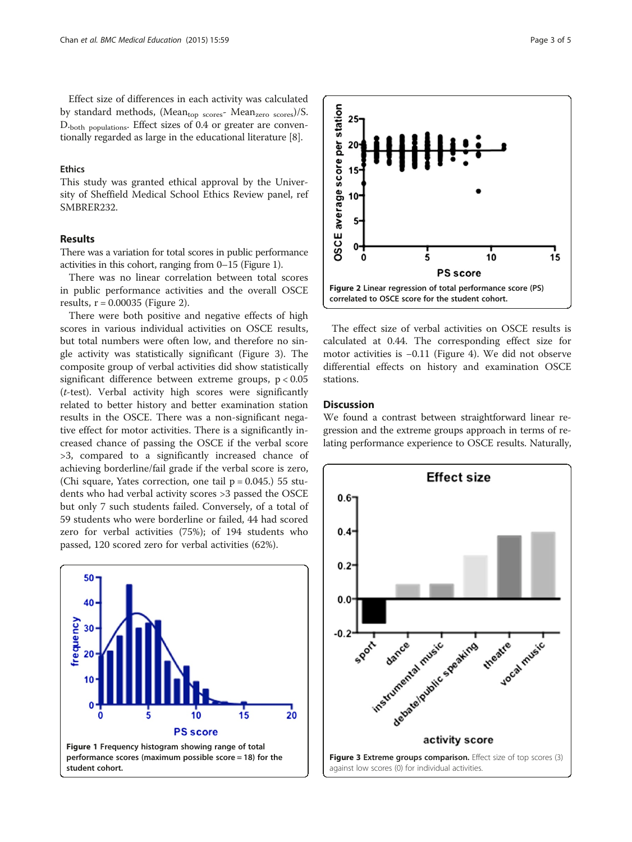Effect size of differences in each activity was calculated by standard methods, (Meantop scores<sup>-</sup> Mean<sub>zero scores</sub>)/S. D.both populations. Effect sizes of 0.4 or greater are conventionally regarded as large in the educational literature [[8](#page-4-0)].

#### Ethics

This study was granted ethical approval by the University of Sheffield Medical School Ethics Review panel, ref SMBRER232.

## Results

There was a variation for total scores in public performance activities in this cohort, ranging from 0–15 (Figure 1).

There was no linear correlation between total scores in public performance activities and the overall OSCE results, r = 0.00035 (Figure 2).

There were both positive and negative effects of high scores in various individual activities on OSCE results, but total numbers were often low, and therefore no single activity was statistically significant (Figure 3). The composite group of verbal activities did show statistically significant difference between extreme groups, p < 0.05 (t-test). Verbal activity high scores were significantly related to better history and better examination station results in the OSCE. There was a non-significant negative effect for motor activities. There is a significantly increased chance of passing the OSCE if the verbal score >3, compared to a significantly increased chance of achieving borderline/fail grade if the verbal score is zero, (Chi square, Yates correction, one tail  $p = 0.045$ .) 55 students who had verbal activity scores >3 passed the OSCE but only 7 such students failed. Conversely, of a total of 59 students who were borderline or failed, 44 had scored zero for verbal activities (75%); of 194 students who passed, 120 scored zero for verbal activities (62%).



station OSCE average score per  $\overline{2}$ 15 5 0 5 10 15  $\mathbf 0$ **PS** score Figure 2 Linear regression of total performance score (PS) correlated to OSCE score for the student cohort.

The effect size of verbal activities on OSCE results is calculated at 0.44. The corresponding effect size for motor activities is −0.11 (Figure [4](#page-3-0)). We did not observe differential effects on history and examination OSCE stations.

#### **Discussion**

 $25 -$ 

We found a contrast between straightforward linear regression and the extreme groups approach in terms of relating performance experience to OSCE results. Naturally,

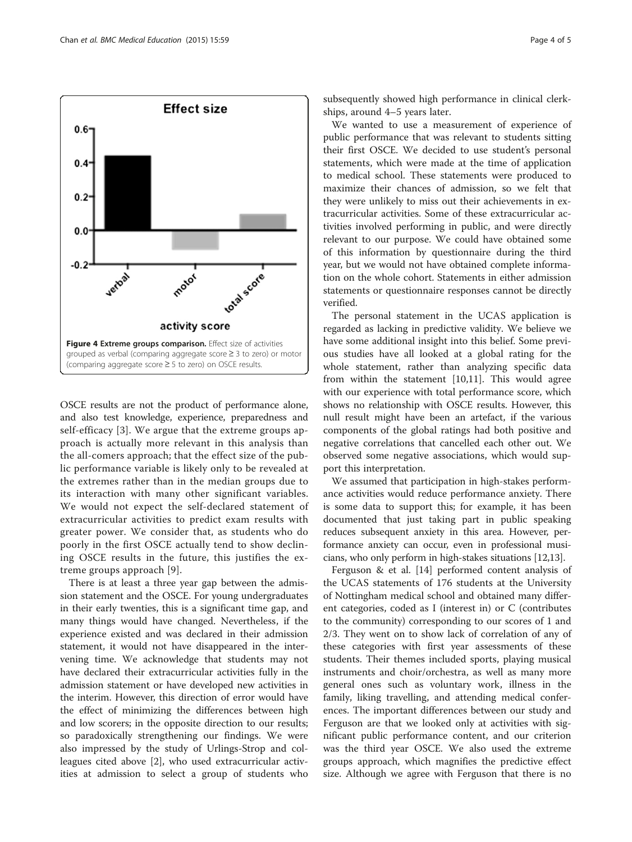<span id="page-3-0"></span>

OSCE results are not the product of performance alone, and also test knowledge, experience, preparedness and self-efficacy [[3](#page-4-0)]. We argue that the extreme groups approach is actually more relevant in this analysis than the all-comers approach; that the effect size of the public performance variable is likely only to be revealed at the extremes rather than in the median groups due to its interaction with many other significant variables. We would not expect the self-declared statement of extracurricular activities to predict exam results with greater power. We consider that, as students who do poorly in the first OSCE actually tend to show declining OSCE results in the future, this justifies the extreme groups approach [[9](#page-4-0)].

There is at least a three year gap between the admission statement and the OSCE. For young undergraduates in their early twenties, this is a significant time gap, and many things would have changed. Nevertheless, if the experience existed and was declared in their admission statement, it would not have disappeared in the intervening time. We acknowledge that students may not have declared their extracurricular activities fully in the admission statement or have developed new activities in the interim. However, this direction of error would have the effect of minimizing the differences between high and low scorers; in the opposite direction to our results; so paradoxically strengthening our findings. We were also impressed by the study of Urlings-Strop and colleagues cited above [[2\]](#page-4-0), who used extracurricular activities at admission to select a group of students who subsequently showed high performance in clinical clerkships, around 4–5 years later.

We wanted to use a measurement of experience of public performance that was relevant to students sitting their first OSCE. We decided to use student's personal statements, which were made at the time of application to medical school. These statements were produced to maximize their chances of admission, so we felt that they were unlikely to miss out their achievements in extracurricular activities. Some of these extracurricular activities involved performing in public, and were directly relevant to our purpose. We could have obtained some of this information by questionnaire during the third year, but we would not have obtained complete information on the whole cohort. Statements in either admission statements or questionnaire responses cannot be directly verified.

The personal statement in the UCAS application is regarded as lacking in predictive validity. We believe we have some additional insight into this belief. Some previous studies have all looked at a global rating for the whole statement, rather than analyzing specific data from within the statement [[10,11](#page-4-0)]. This would agree with our experience with total performance score, which shows no relationship with OSCE results. However, this null result might have been an artefact, if the various components of the global ratings had both positive and negative correlations that cancelled each other out. We observed some negative associations, which would support this interpretation.

We assumed that participation in high-stakes performance activities would reduce performance anxiety. There is some data to support this; for example, it has been documented that just taking part in public speaking reduces subsequent anxiety in this area. However, performance anxiety can occur, even in professional musicians, who only perform in high-stakes situations [\[12,13\]](#page-4-0).

Ferguson & et al. [[14\]](#page-4-0) performed content analysis of the UCAS statements of 176 students at the University of Nottingham medical school and obtained many different categories, coded as I (interest in) or C (contributes to the community) corresponding to our scores of 1 and 2/3. They went on to show lack of correlation of any of these categories with first year assessments of these students. Their themes included sports, playing musical instruments and choir/orchestra, as well as many more general ones such as voluntary work, illness in the family, liking travelling, and attending medical conferences. The important differences between our study and Ferguson are that we looked only at activities with significant public performance content, and our criterion was the third year OSCE. We also used the extreme groups approach, which magnifies the predictive effect size. Although we agree with Ferguson that there is no